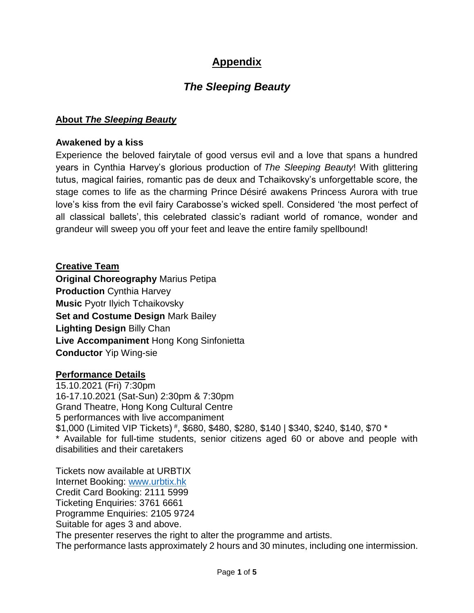## **Appendix**

# *The Sleeping Beauty*

## **About** *The Sleeping Beauty*

#### **Awakened by a kiss**

Experience the beloved fairytale of good versus evil and a love that spans a hundred years in Cynthia Harvey's glorious production of *The Sleeping Beauty*! With glittering tutus, magical fairies, romantic pas de deux and Tchaikovsky's unforgettable score, the stage comes to life as the charming Prince Désiré awakens Princess Aurora with true love's kiss from the evil fairy Carabosse's wicked spell. Considered 'the most perfect of all classical ballets', this celebrated classic's radiant world of romance, wonder and grandeur will sweep you off your feet and leave the entire family spellbound!

**Creative Team Original Choreography** Marius Petipa **Production** Cynthia Harvey **Music** Pyotr Ilyich Tchaikovsky **Set and Costume Design** Mark Bailey **Lighting Design** Billy Chan **Live Accompaniment** Hong Kong Sinfonietta **Conductor** Yip Wing-sie

#### **Performance Details**

15.10.2021 (Fri) 7:30pm 16-17.10.2021 (Sat-Sun) 2:30pm & 7:30pm Grand Theatre, Hong Kong Cultural Centre 5 performances with live accompaniment \$1,000 (Limited VIP Tickets) # , \$680, \$480, \$280, \$140 | \$340, \$240, \$140, \$70 \* \* Available for full-time students, senior citizens aged 60 or above and people with disabilities and their caretakers

Tickets now available at URBTIX Internet Booking: [www.urbtix.hk](http://www.urbtix.hk/) Credit Card Booking: 2111 5999 Ticketing Enquiries: 3761 6661 Programme Enquiries: 2105 9724 Suitable for ages 3 and above. The presenter reserves the right to alter the programme and artists. The performance lasts approximately 2 hours and 30 minutes, including one intermission.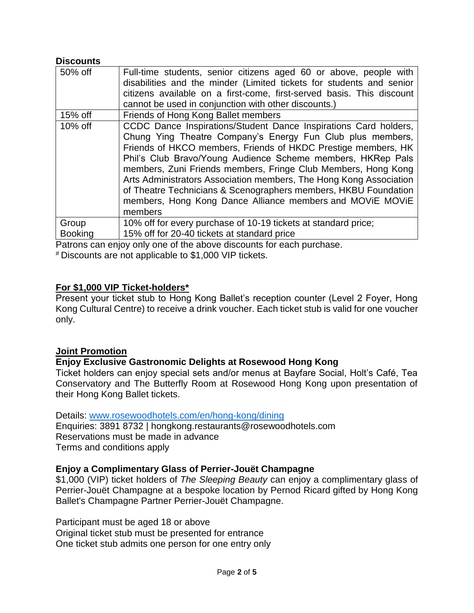### **Discounts**

| 50% off        | Full-time students, senior citizens aged 60 or above, people with<br>disabilities and the minder (Limited tickets for students and senior<br>citizens available on a first-come, first-served basis. This discount<br>cannot be used in conjunction with other discounts.)                                                                                                                                                                                                                                                                       |
|----------------|--------------------------------------------------------------------------------------------------------------------------------------------------------------------------------------------------------------------------------------------------------------------------------------------------------------------------------------------------------------------------------------------------------------------------------------------------------------------------------------------------------------------------------------------------|
| $15%$ off      | Friends of Hong Kong Ballet members                                                                                                                                                                                                                                                                                                                                                                                                                                                                                                              |
| 10% off        | CCDC Dance Inspirations/Student Dance Inspirations Card holders,<br>Chung Ying Theatre Company's Energy Fun Club plus members,<br>Friends of HKCO members, Friends of HKDC Prestige members, HK<br>Phil's Club Bravo/Young Audience Scheme members, HKRep Pals<br>members, Zuni Friends members, Fringe Club Members, Hong Kong<br>Arts Administrators Association members, The Hong Kong Association<br>of Theatre Technicians & Scenographers members, HKBU Foundation<br>members, Hong Kong Dance Alliance members and MOVIE MOVIE<br>members |
| Group          | 10% off for every purchase of 10-19 tickets at standard price;                                                                                                                                                                                                                                                                                                                                                                                                                                                                                   |
| <b>Booking</b> | 15% off for 20-40 tickets at standard price                                                                                                                                                                                                                                                                                                                                                                                                                                                                                                      |

Patrons can enjoy only one of the above discounts for each purchase.

# Discounts are not applicable to \$1,000 VIP tickets.

#### **For \$1,000 VIP Ticket-holders\***

Present your ticket stub to Hong Kong Ballet's reception counter (Level 2 Foyer, Hong Kong Cultural Centre) to receive a drink voucher. Each ticket stub is valid for one voucher only.

#### **Joint Promotion**

#### **Enjoy Exclusive Gastronomic Delights at Rosewood Hong Kong**

Ticket holders can enjoy special sets and/or menus at Bayfare Social, Holt's Café, Tea Conservatory and The Butterfly Room at Rosewood Hong Kong upon presentation of their Hong Kong Ballet tickets.

Details: [www.rosewoodhotels.com/en/hong-kong/dining](http://www.rosewoodhotels.com/en/hong-kong/dining)

Enquiries: 3891 8732 | [hongkong.restaurants@rosewoodhotels.com](mailto:hongkong.restaurants@rosewoodhotels.com) Reservations must be made in advance Terms and conditions apply

#### **Enjoy a Complimentary Glass of Perrier-Jouët Champagne**

\$1,000 (VIP) ticket holders of *The Sleeping Beauty* can enjoy a complimentary glass of Perrier-Jouët Champagne at a bespoke location by Pernod Ricard gifted by Hong Kong Ballet's Champagne Partner Perrier-Jouët Champagne.

Participant must be aged 18 or above Original ticket stub must be presented for entrance One ticket stub admits one person for one entry only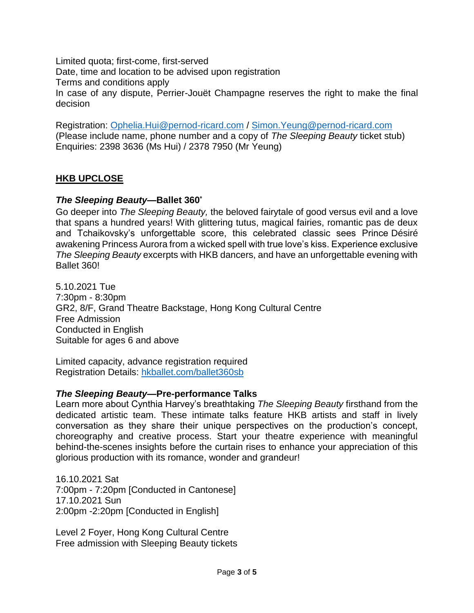Limited quota; first-come, first-served Date, time and location to be advised upon registration Terms and conditions apply In case of any dispute, Perrier-Jouët Champagne reserves the right to make the final decision

Registration: [Ophelia.Hui@pernod-ricard.com](mailto:Ophelia.Hui@pernod-ricard.com) / [Simon.Yeung@pernod-ricard.com](mailto:Simon.Yeung@pernod-ricard.com) (Please include name, phone number and a copy of *The Sleeping Beauty* ticket stub) Enquiries: 2398 3636 (Ms Hui) / 2378 7950 (Mr Yeung)

## **HKB UPCLOSE**

### *The Sleeping Beauty***—Ballet 360**°

Go deeper into *The Sleeping Beauty,* the beloved fairytale of good versus evil and a love that spans a hundred years! With glittering tutus, magical fairies, romantic pas de deux and Tchaikovsky's unforgettable score, this celebrated classic sees Prince Désiré awakening Princess Aurora from a wicked spell with true love's kiss. Experience exclusive *The Sleeping Beauty* excerpts with HKB dancers, and have an unforgettable evening with Ballet 360!

5.10.2021 Tue 7:30pm - 8:30pm GR2, 8/F, Grand Theatre Backstage, Hong Kong Cultural Centre Free Admission Conducted in English Suitable for ages 6 and above

Limited capacity, advance registration required Registration Details: [hkballet.com/ballet360sb](http://www.hkballet.com/pre-talksb)

#### *The Sleeping Beauty***—Pre-performance Talks**

Learn more about Cynthia Harvey's breathtaking *The Sleeping Beauty* firsthand from the dedicated artistic team. These intimate talks feature HKB artists and staff in lively conversation as they share their unique perspectives on the production's concept, choreography and creative process. Start your theatre experience with meaningful behind-the-scenes insights before the curtain rises to enhance your appreciation of this glorious production with its romance, wonder and grandeur!

16.10.2021 Sat 7:00pm - 7:20pm [Conducted in Cantonese] 17.10.2021 Sun 2:00pm -2:20pm [Conducted in English]

Level 2 Foyer, Hong Kong Cultural Centre Free admission with Sleeping Beauty tickets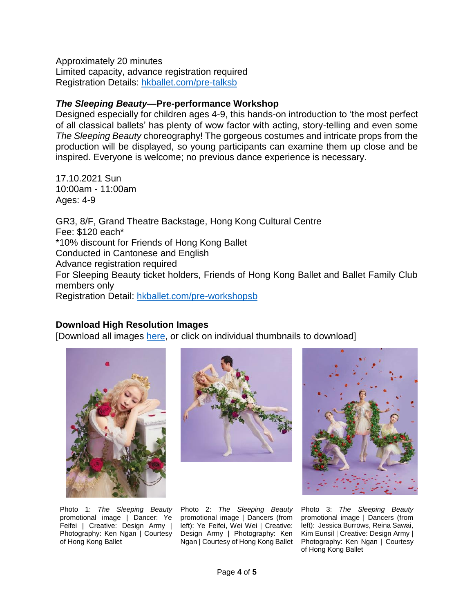Approximately 20 minutes Limited capacity, advance registration required Registration Details: [hkballet.com/pre-talksb](http://www.hkballet.com/pre-talksb)

#### *The Sleeping Beauty***—Pre-performance Workshop**

Designed especially for children ages 4-9, this hands-on introduction to 'the most perfect of all classical ballets' has plenty of wow factor with acting, story-telling and even some *The Sleeping Beauty* choreography! The gorgeous costumes and intricate props from the production will be displayed, so young participants can examine them up close and be inspired. Everyone is welcome; no previous dance experience is necessary.

17.10.2021 Sun 10:00am - 11:00am Ages: 4-9

GR3, 8/F, Grand Theatre Backstage, Hong Kong Cultural Centre Fee: \$120 each\* \*10% discount for Friends of Hong Kong Ballet Conducted in Cantonese and English Advance registration required For Sleeping Beauty ticket holders, Friends of Hong Kong Ballet and Ballet Family Club members only Registration Detail: [hkballet.com/pre-workshopsb](http://www.hkballet.com/pre-workshopsb)

#### **Download High Resolution Images**

[Download all images [here,](https://www.hkballet.com/download/pressRelease/photos/sleeping21/sleeping21photos.zip) or click on individual thumbnails to download]







Photo 1: *The Sleeping Beauty* promotional image | Dancer: Ye Feifei | Creative: Design Army | Photography: Ken Ngan | Courtesy of Hong Kong Ballet

Photo 2: *The Sleeping Beauty* promotional image | Dancers (from left): Ye Feifei, Wei Wei | Creative: Design Army | Photography: Ken Ngan | Courtesy of Hong Kong Ballet

Photo 3: *The Sleeping Beauty* promotional image | Dancers (from left): Jessica Burrows, Reina Sawai, Kim Eunsil | Creative: Design Army | Photography: Ken Ngan | Courtesy of Hong Kong Ballet